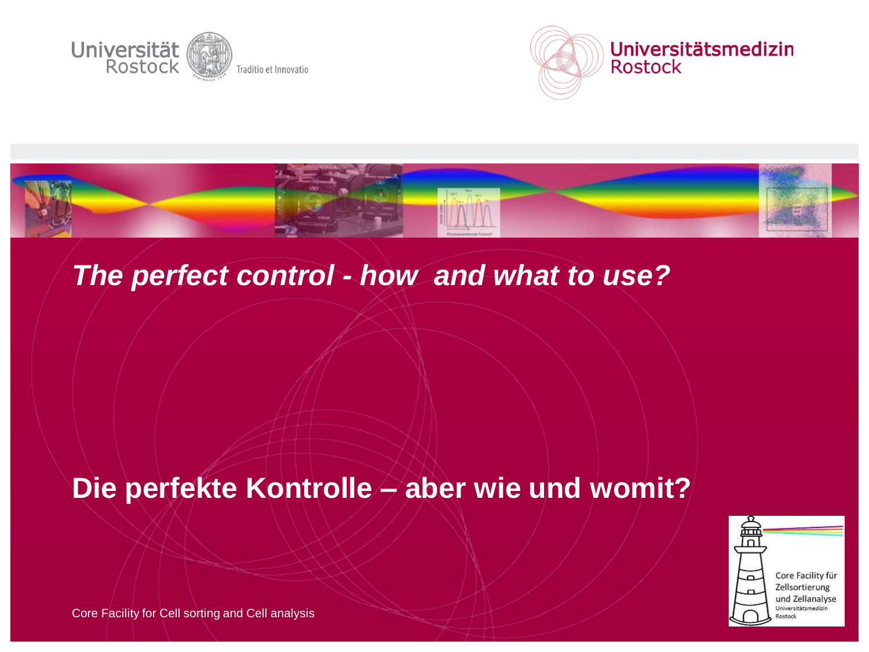





#### *The perfect control - how and what to use?*

#### **Die perfekte Kontrolle – aber wie und womit?**



Core Facility für Zellsortierung und Zellanalyse Universitätsmedizin lostack

Core Facility for Cell sorting and Cell analysis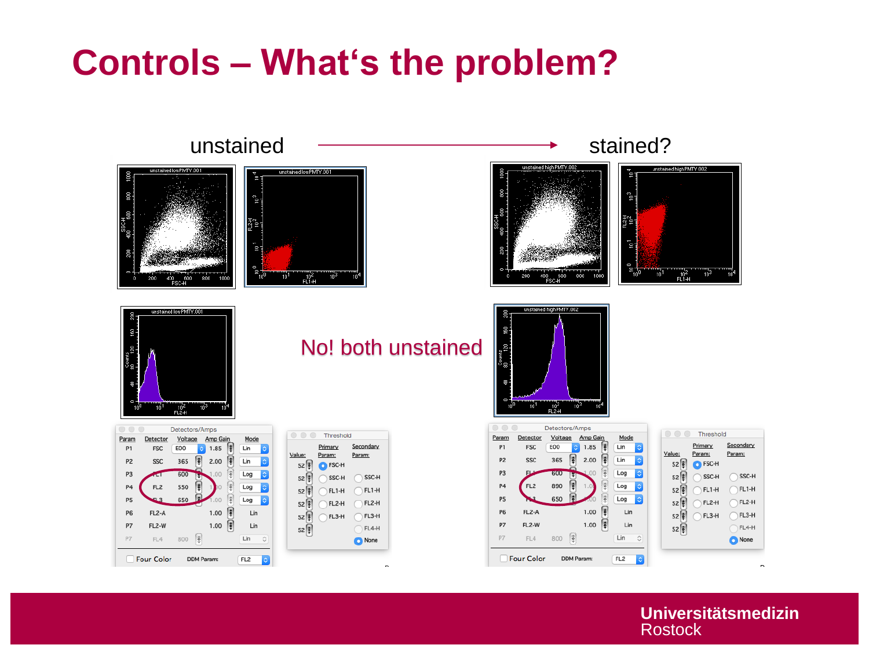### **Controls – What's the problem?**

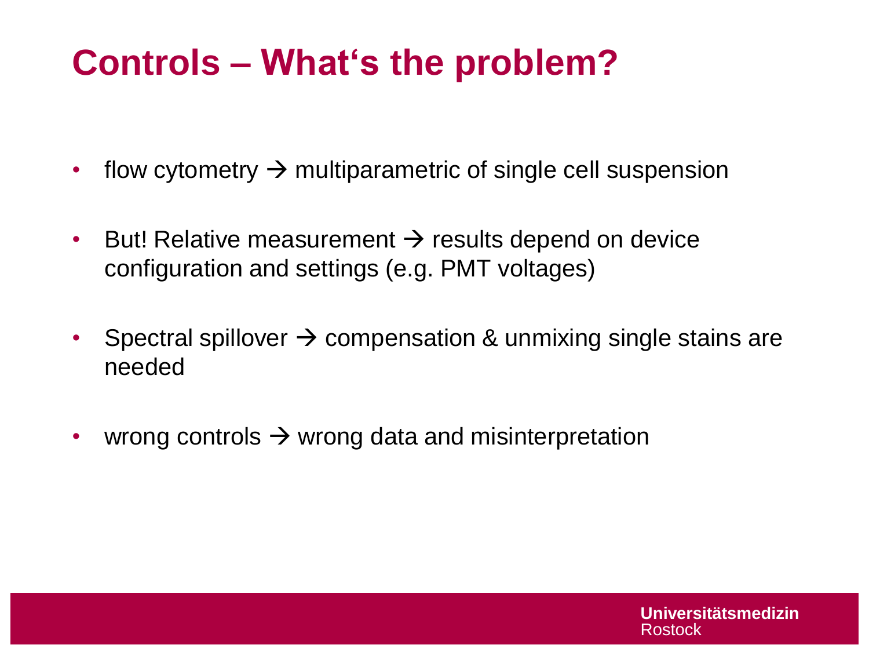# **Controls – What's the problem?**

- flow cytometry  $\rightarrow$  multiparametric of single cell suspension
- But! Relative measurement  $\rightarrow$  results depend on device configuration and settings (e.g. PMT voltages)
- Spectral spillover  $\rightarrow$  compensation & unmixing single stains are needed
- wrong controls  $\rightarrow$  wrong data and misinterpretation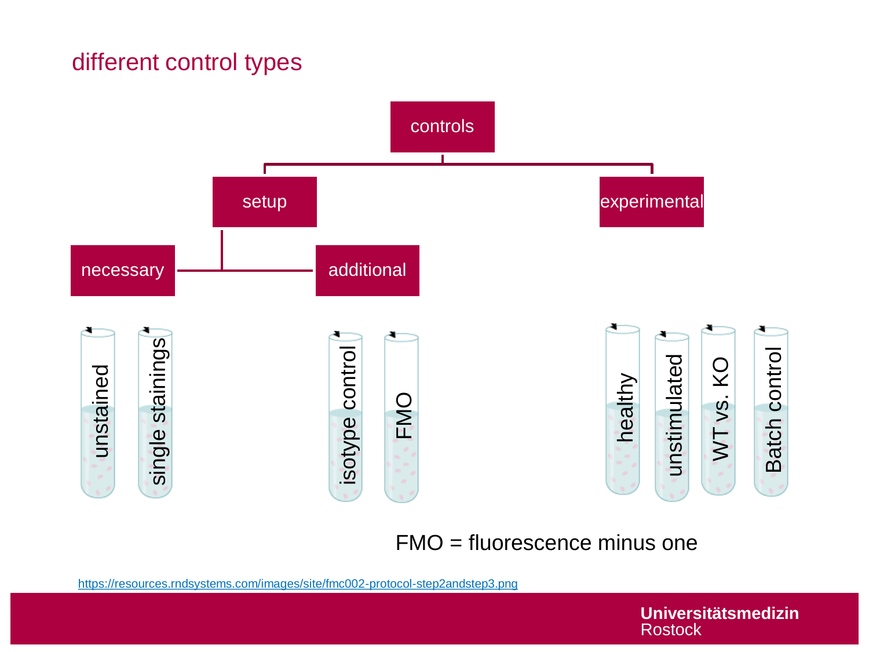#### different control types



<https://resources.rndsystems.com/images/site/fmc002-protocol-step2andstep3.png>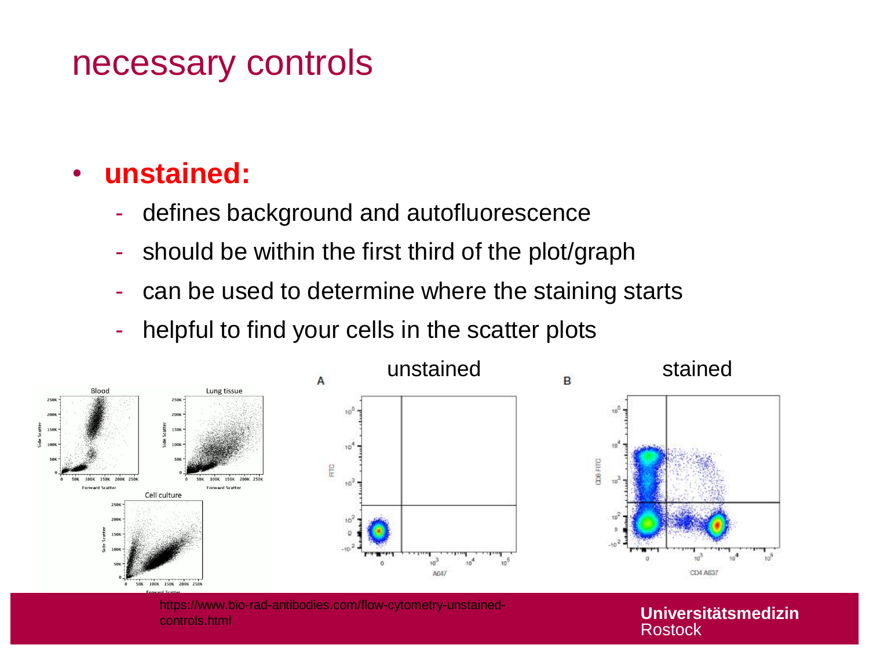#### necessary controls

#### • **unstained:**

- defines background and autofluorescence
- should be within the first third of the plot/graph
- can be used to determine where the staining starts
- helpful to find your cells in the scatter plots



https://www.bio-rad-antibodies.com/flow-cytometry-unstainedcontrols.html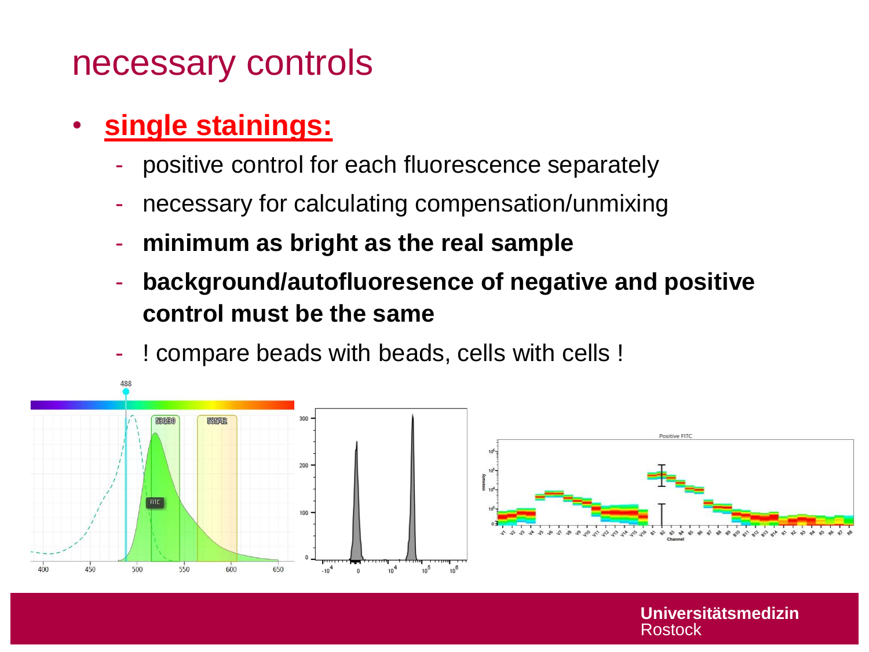#### necessary controls

- **single stainings:** 
	- positive control for each fluorescence separately
	- necessary for calculating compensation/unmixing
	- **minimum as bright as the real sample**
	- **background/autofluoresence of negative and positive control must be the same**
	- ! compare beads with beads, cells with cells !

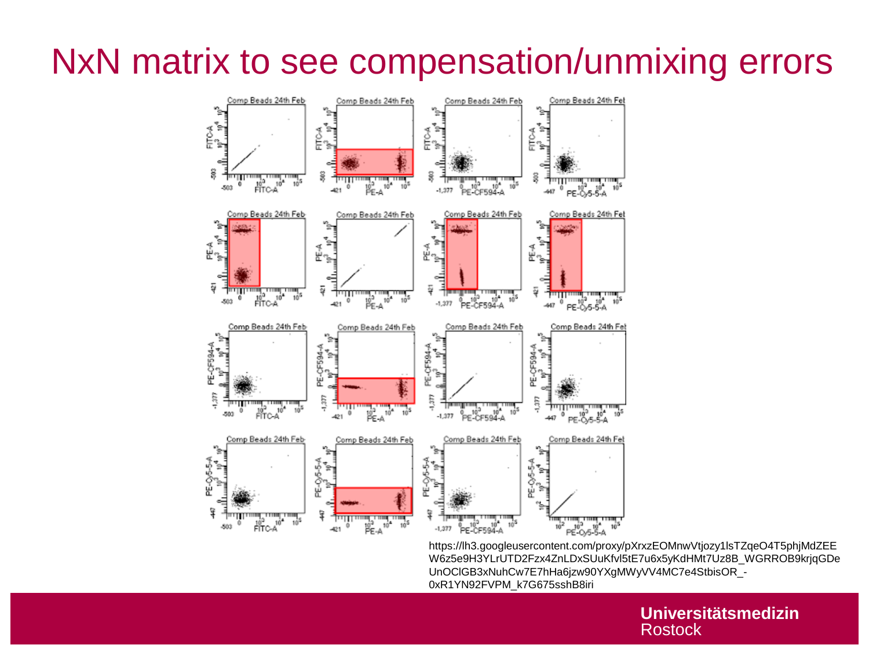### NxN matrix to see compensation/unmixing errors



https://lh3.googleusercontent.com/proxy/pXrxzEOMnwVtjozy1lsTZqeO4T5phjMdZEE W6z5e9H3YLrUTD2Fzx4ZnLDxSUuKfvl5tE7u6x5yKdHMt7Uz8B\_WGRROB9krjqGDe UnOClGB3xNuhCw7E7hHa6jzw90YXgMWyVV4MC7e4StbisOR\_- 0xR1YN92FVPM\_k7G675sshB8iri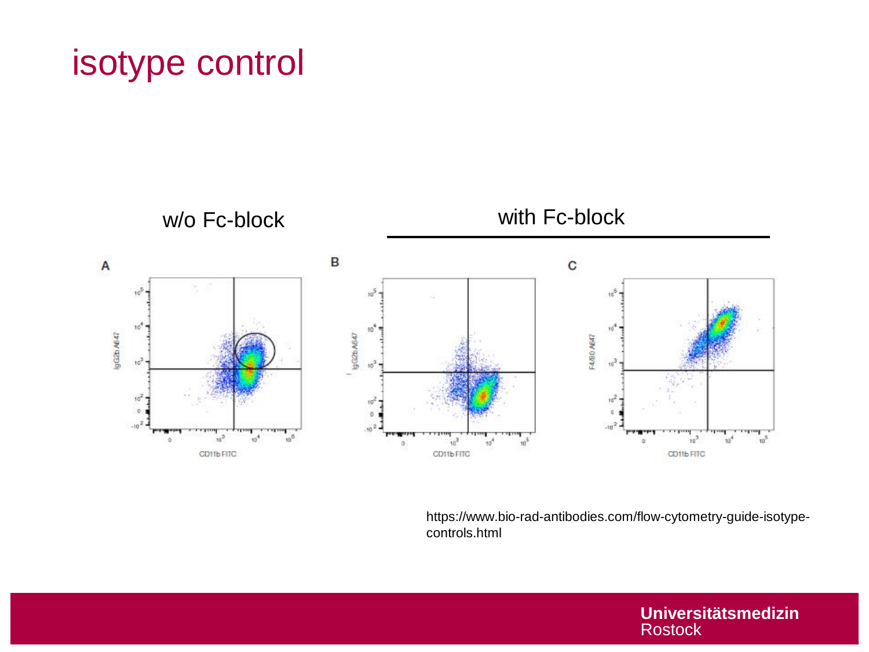#### isotype control



https://www.bio-rad-antibodies.com/flow-cytometry-guide-isotypecontrols.html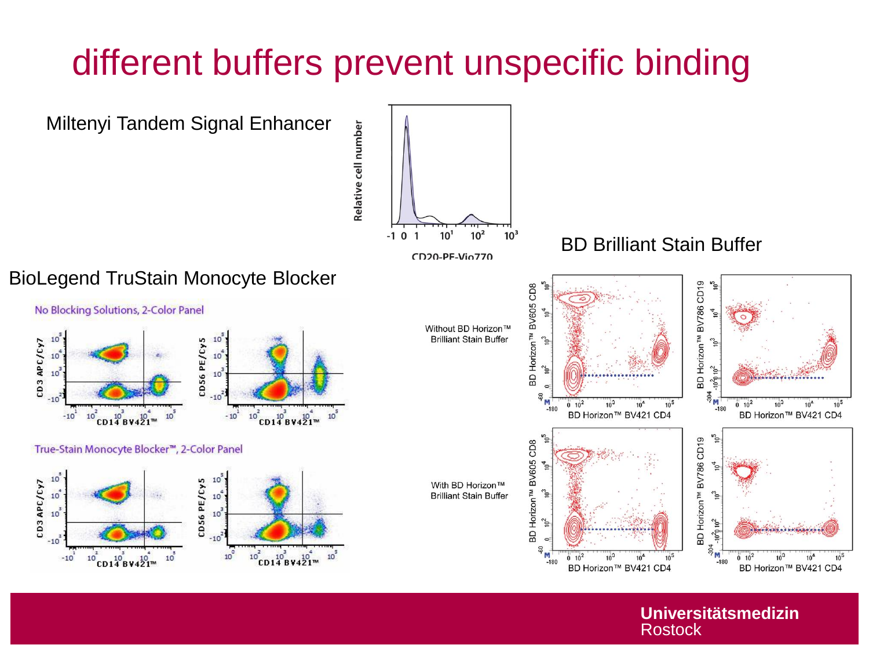## different buffers prevent unspecific binding

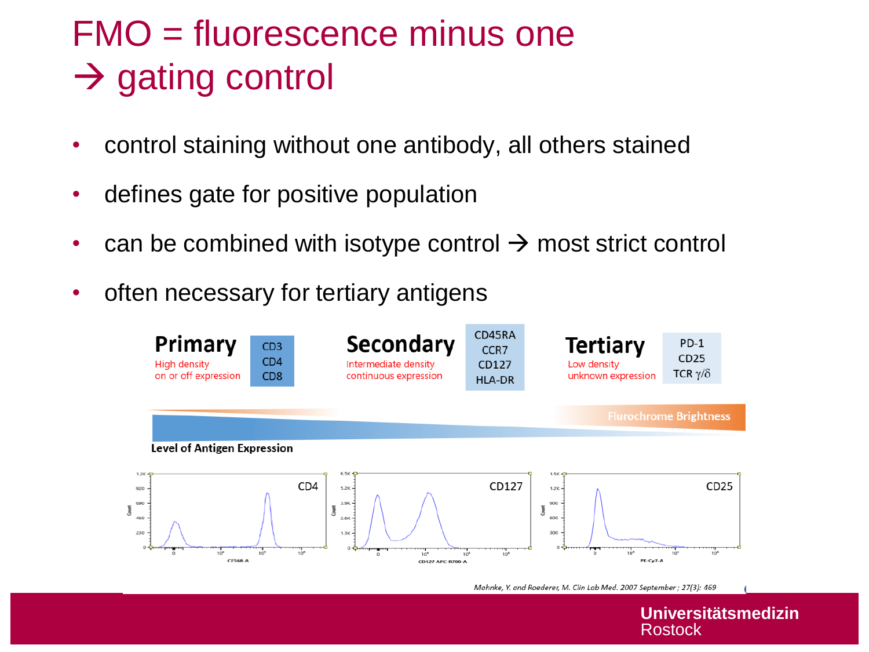## FMO = fluorescence minus one  $\rightarrow$  gating control

- control staining without one antibody, all others stained
- defines gate for positive population
- can be combined with isotype control  $\rightarrow$  most strict control
- often necessary for tertiary antigens



Mahnke, Y. and Roederer, M. Clin Lab Med. 2007 September ; 27(3): 469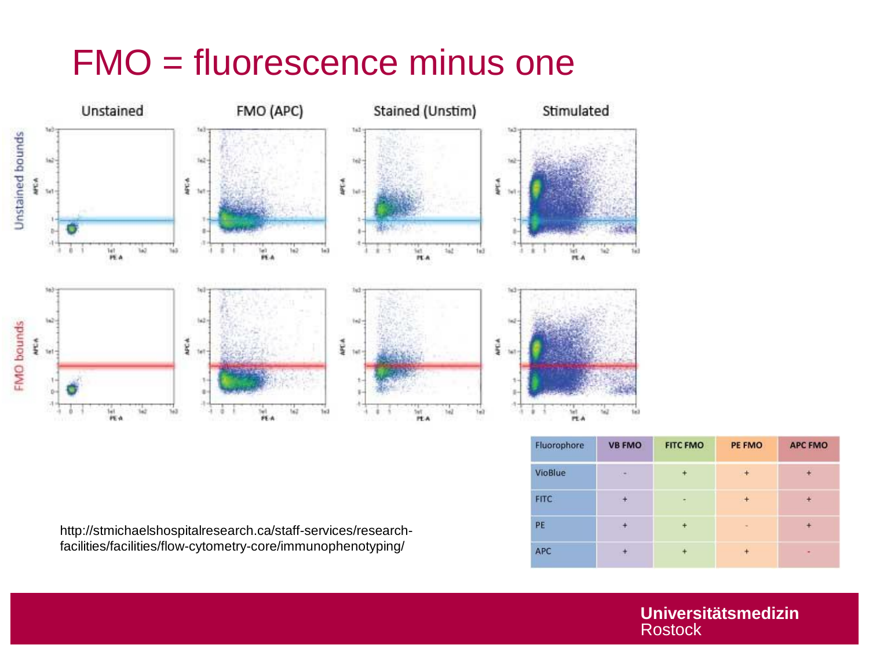### FMO = fluorescence minus one



| Fluorophore    | <b>VB FMO</b>              | <b>FITC FMO</b> | PE FMO         | <b>APC FMO</b> |
|----------------|----------------------------|-----------------|----------------|----------------|
| <b>VioBlue</b> | $\mathcal{C}^{\text{max}}$ | $\ddot{}$       | $\pm$          | ÷              |
| <b>FITC</b>    | $\mathbf{r}$               | ۰               | ÷              | $\pm$          |
| PE             | $+$                        | $+$             | $\blacksquare$ | $+$            |
| APC            | ÷                          |                 |                | ۰              |

http://stmichaelshospitalresearch.ca/staff-services/researchfacilities/facilities/flow-cytometry-core/immunophenotyping/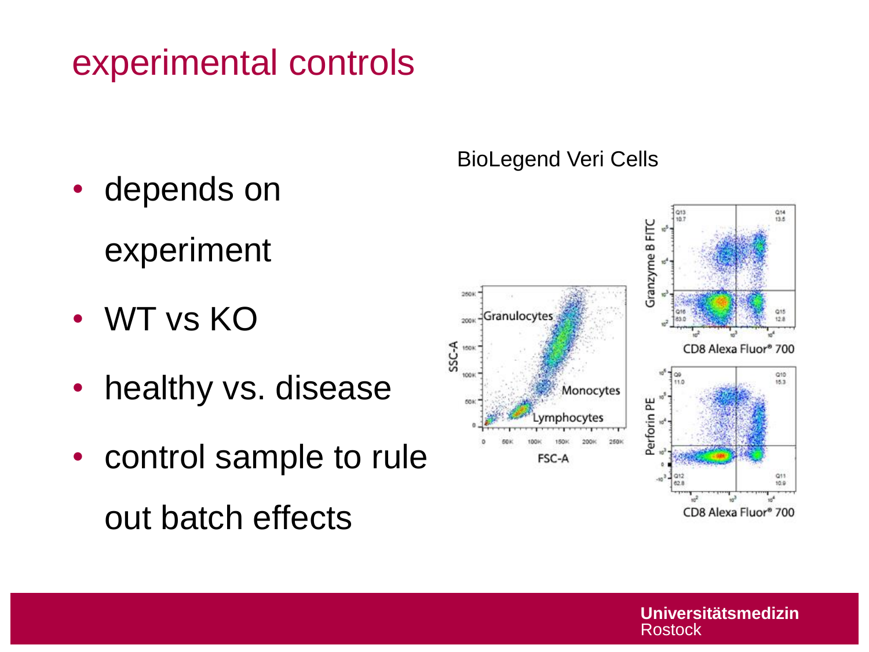### experimental controls

- depends on
	- experiment
- WT vs KO
- healthy vs. disease
- control sample to rule out batch effects

#### BioLegend Veri Cells

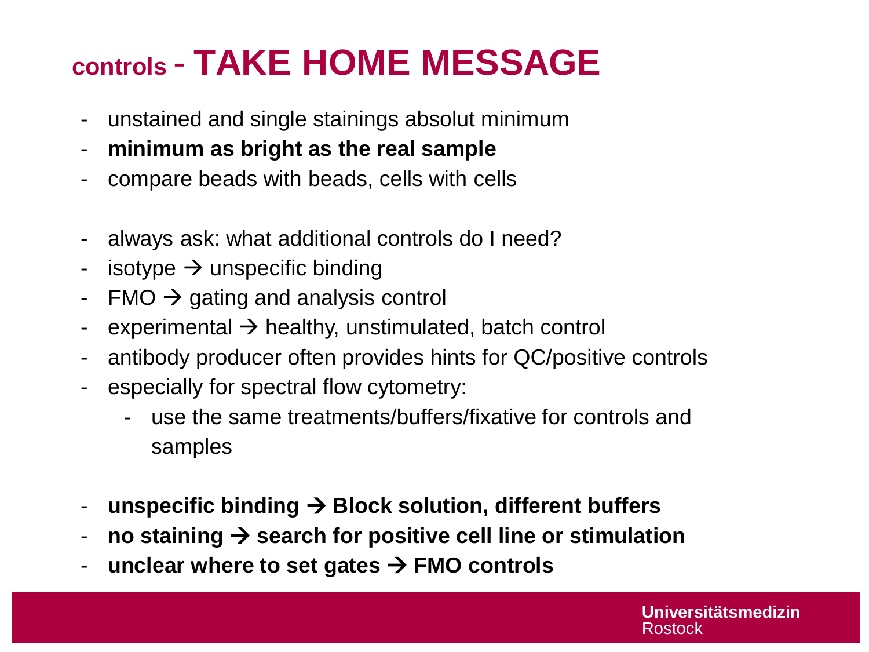# **controls** - **TAKE HOME MESSAGE**

- unstained and single stainings absolut minimum
- **minimum as bright as the real sample**
- compare beads with beads, cells with cells
- always ask: what additional controls do I need?
- isotype  $\rightarrow$  unspecific binding
- $FMO \rightarrow$  gating and analysis control
- experimental  $\rightarrow$  healthy, unstimulated, batch control
- antibody producer often provides hints for QC/positive controls
- especially for spectral flow cytometry:
	- use the same treatments/buffers/fixative for controls and samples
- **unspecific binding** → **Block solution, different buffers**
- **no staining** → **search for positive cell line or stimulation**
- **unclear where to set gates** → **FMO controls**